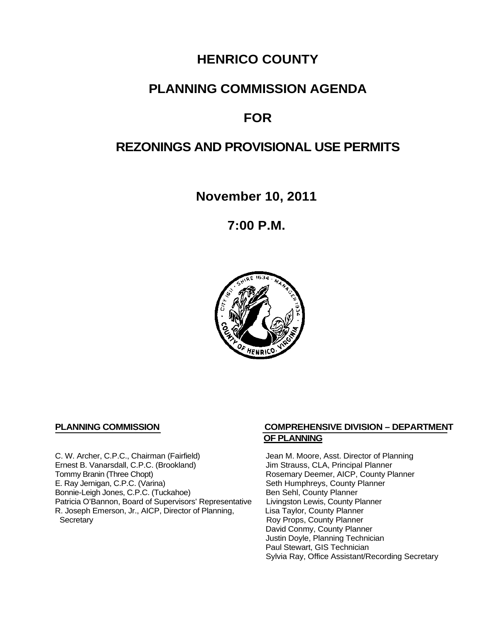## **HENRICO COUNTY**

## **PLANNING COMMISSION AGENDA**

## **FOR**

## **REZONINGS AND PROVISIONAL USE PERMITS**

**November 10, 2011**

**7:00 P.M.**



C. W. Archer, C.P.C., Chairman (Fairfield) Jean M. Moore, Asst. Director of Planning<br>
Ernest B. Vanarsdall, C.P.C. (Brookland) Jim Strauss, CLA, Principal Planner Ernest B. Vanarsdall, C.P.C. (Brookland)<br>Tommy Branin (Three Chopt) Tommy Branin (Three Chopt)<br>
E. Ray Jernigan, C.P.C. (Varina) Seth Humphreys, County Planner E. Ray Jernigan, C.P.C. (Varina) Bonnie-Leigh Jones, C.P.C. (Tuckahoe) Ben Sehl, County Planner<br>Patricia O'Bannon, Board of Supervisors' Representative Livingston Lewis, County Planner Patricia O'Bannon, Board of Supervisors' Representative Livingston Lewis, County Planner<br>R. Joseph Emerson, Jr., AICP, Director of Planning, Lisa Taylor, County Planner R. Joseph Emerson, Jr., AICP, Director of Planning, Secretary

#### **PLANNING COMMISSION COMPREHENSIVE DIVISION – DEPARTMENT OF PLANNING**

Seth Humphreys, County Planner<br>Ben Sehl, County Planner Roy Props, County Planner David Conmy, County Planner Justin Doyle, Planning Technician Paul Stewart, GIS Technician Sylvia Ray, Office Assistant/Recording Secretary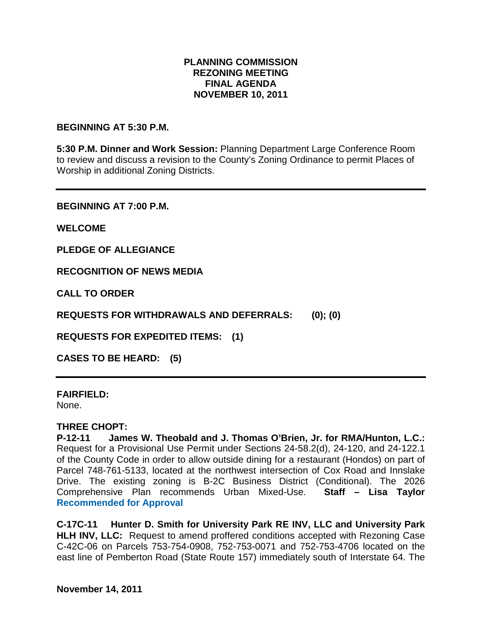#### **PLANNING COMMISSION REZONING MEETING FINAL AGENDA NOVEMBER 10, 2011**

#### **BEGINNING AT 5:30 P.M.**

**5:30 P.M. Dinner and Work Session:** Planning Department Large Conference Room to review and discuss a revision to the County's Zoning Ordinance to permit Places of Worship in additional Zoning Districts.

**BEGINNING AT 7:00 P.M.**

**WELCOME**

**PLEDGE OF ALLEGIANCE**

**RECOGNITION OF NEWS MEDIA**

**CALL TO ORDER**

**REQUESTS FOR WITHDRAWALS AND DEFERRALS: (0); (0)**

**REQUESTS FOR EXPEDITED ITEMS: (1)**

**CASES TO BE HEARD: (5)**

#### **FAIRFIELD:**

None.

#### **THREE CHOPT:**

**P-12-11 James W. Theobald and J. Thomas O'Brien, Jr. for RMA/Hunton, L.C.:** Request for a Provisional Use Permit under Sections 24-58.2(d), 24-120, and 24-122.1 of the County Code in order to allow outside dining for a restaurant (Hondos) on part of Parcel 748-761-5133, located at the northwest intersection of Cox Road and Innslake Drive. The existing zoning is B-2C Business District (Conditional). The 2026 Comprehensive Plan recommends Urban Mixed-Use. **Staff – Lisa Taylor Recommended for Approval**

**C-17C-11 Hunter D. Smith for University Park RE INV, LLC and University Park HLH INV, LLC:** Request to amend proffered conditions accepted with Rezoning Case C-42C-06 on Parcels 753-754-0908, 752-753-0071 and 752-753-4706 located on the east line of Pemberton Road (State Route 157) immediately south of Interstate 64. The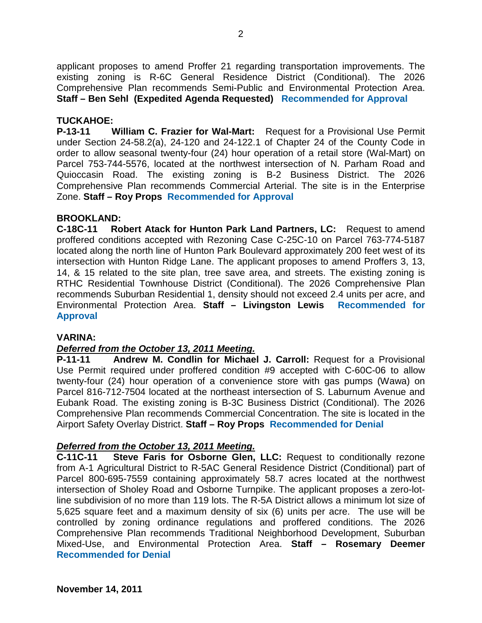applicant proposes to amend Proffer 21 regarding transportation improvements. The existing zoning is R-6C General Residence District (Conditional). The 2026 Comprehensive Plan recommends Semi-Public and Environmental Protection Area. **Staff – Ben Sehl (Expedited Agenda Requested) Recommended for Approval**

#### **TUCKAHOE:**

**P-13-11 William C. Frazier for Wal-Mart:** Request for a Provisional Use Permit under Section 24-58.2(a), 24-120 and 24-122.1 of Chapter 24 of the County Code in order to allow seasonal twenty-four (24) hour operation of a retail store (Wal-Mart) on Parcel 753-744-5576, located at the northwest intersection of N. Parham Road and Quioccasin Road. The existing zoning is B-2 Business District. The 2026 Comprehensive Plan recommends Commercial Arterial. The site is in the Enterprise Zone. **Staff – Roy Props Recommended for Approval**

#### **BROOKLAND:**

**C-18C-11 Robert Atack for Hunton Park Land Partners, LC:** Request to amend proffered conditions accepted with Rezoning Case C-25C-10 on Parcel 763-774-5187 located along the north line of Hunton Park Boulevard approximately 200 feet west of its intersection with Hunton Ridge Lane. The applicant proposes to amend Proffers 3, 13, 14, & 15 related to the site plan, tree save area, and streets. The existing zoning is RTHC Residential Townhouse District (Conditional). The 2026 Comprehensive Plan recommends Suburban Residential 1, density should not exceed 2.4 units per acre, and Environmental Protection Area. **Staff – Livingston Lewis Recommended for Approval**

#### **VARINA:**

#### *Deferred from the October 13, 2011 Meeting.*

**P-11-11 Andrew M. Condlin for Michael J. Carroll:** Request for a Provisional Use Permit required under proffered condition #9 accepted with C-60C-06 to allow twenty-four (24) hour operation of a convenience store with gas pumps (Wawa) on Parcel 816-712-7504 located at the northeast intersection of S. Laburnum Avenue and Eubank Road. The existing zoning is B-3C Business District (Conditional). The 2026 Comprehensive Plan recommends Commercial Concentration. The site is located in the Airport Safety Overlay District. **Staff – Roy Props Recommended for Denial**

# *Deferred from the October 13, 2011 Meeting.*

**Steve Faris for Osborne Glen, LLC: Request to conditionally rezone** from A-1 Agricultural District to R-5AC General Residence District (Conditional) part of Parcel 800-695-7559 containing approximately 58.7 acres located at the northwest intersection of Sholey Road and Osborne Turnpike. The applicant proposes a zero-lotline subdivision of no more than 119 lots. The R-5A District allows a minimum lot size of 5,625 square feet and a maximum density of six (6) units per acre. The use will be controlled by zoning ordinance regulations and proffered conditions. The 2026 Comprehensive Plan recommends Traditional Neighborhood Development, Suburban Mixed-Use, and Environmental Protection Area. **Staff – Rosemary Deemer Recommended for Denial**